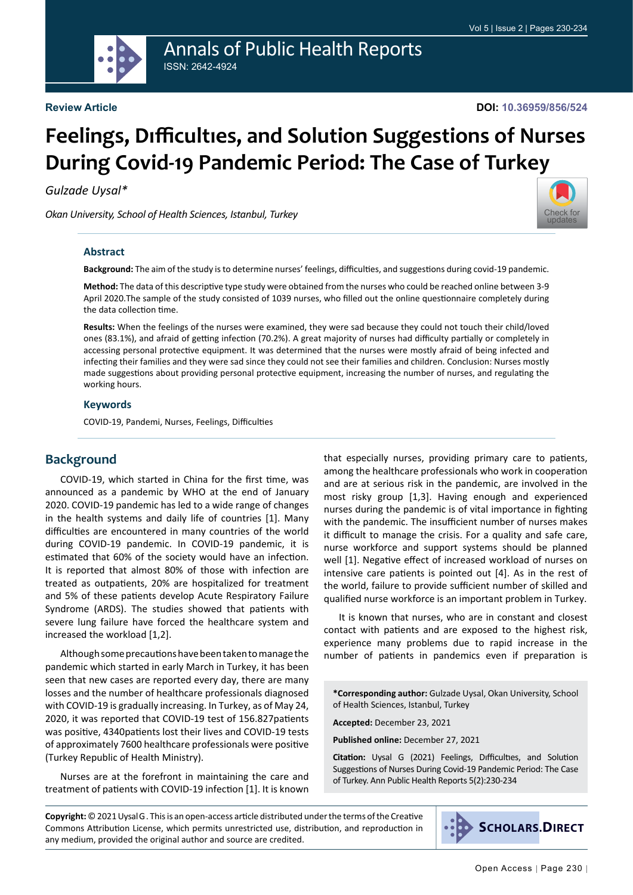

Annals of Public Health Reports ISSN: 2642-4924

# **Feelings, Dıfficultıes, and Solution Suggestions of Nurses During Covid-19 Pandemic Period: The Case of Turkey**

*Gulzade Uysal\**

*Okan University, School of Health Sciences, Istanbul, Turkey*



#### **Abstract**

**Background:** The aim of the study is to determine nurses' feelings, difficulties, and suggestions during covid-19 pandemic.

**Method:** The data of this descriptive type study were obtained from the nurses who could be reached online between 3-9 April 2020.The sample of the study consisted of 1039 nurses, who filled out the online questionnaire completely during the data collection time.

**Results:** When the feelings of the nurses were examined, they were sad because they could not touch their child/loved ones (83.1%), and afraid of getting infection (70.2%). A great majority of nurses had difficulty partially or completely in accessing personal protective equipment. It was determined that the nurses were mostly afraid of being infected and infecting their families and they were sad since they could not see their families and children. Conclusion: Nurses mostly made suggestions about providing personal protective equipment, increasing the number of nurses, and regulating the working hours.

#### **Keywords**

COVID-19, Pandemi, Nurses, Feelings, Difficulties

## **Background**

COVID-19, which started in China for the first time, was announced as a pandemic by WHO at the end of January 2020. COVID-19 pandemic has led to a wide range of changes in the health systems and daily life of countries [1]. Many difficulties are encountered in many countries of the world during COVID-19 pandemic. In COVID-19 pandemic, it is estimated that 60% of the society would have an infection. It is reported that almost 80% of those with infection are treated as outpatients, 20% are hospitalized for treatment and 5% of these patients develop Acute Respiratory Failure Syndrome (ARDS). The studies showed that patients with severe lung failure have forced the healthcare system and increased the workload [1,2].

Although some precautions have been taken to manage the pandemic which started in early March in Turkey, it has been seen that new cases are reported every day, there are many losses and the number of healthcare professionals diagnosed with COVID-19 is gradually increasing. In Turkey, as of May 24, 2020, it was reported that COVID-19 test of 156.827patients was positive, 4340patients lost their lives and COVID-19 tests of approximately 7600 healthcare professionals were positive (Turkey Republic of Health Ministry).

Nurses are at the forefront in maintaining the care and treatment of patients with COVID-19 infection [1]. It is known

that especially nurses, providing primary care to patients, among the healthcare professionals who work in cooperation and are at serious risk in the pandemic, are involved in the most risky group [1,3]. Having enough and experienced nurses during the pandemic is of vital importance in fighting with the pandemic. The insufficient number of nurses makes it difficult to manage the crisis. For a quality and safe care, nurse workforce and support systems should be planned well [1]. Negative effect of increased workload of nurses on intensive care patients is pointed out [4]. As in the rest of the world, failure to provide sufficient number of skilled and qualified nurse workforce is an important problem in Turkey.

It is known that nurses, who are in constant and closest contact with patients and are exposed to the highest risk, experience many problems due to rapid increase in the number of patients in pandemics even if preparation is

**\*Corresponding author:** Gulzade Uysal, Okan University, School of Health Sciences, Istanbul, Turkey

**Accepted:** December 23, 2021

**Published online:** December 27, 2021

**Citation:** Uysal G (2021) Feelings, Dıfficultıes, and Solution Suggestions of Nurses During Covid-19 Pandemic Period: The Case of Turkey. Ann Public Health Reports 5(2):230-234

**Copyright:** © 2021 Uysal G . This is an open-access article distributed under the terms of the Creative Commons Attribution License, which permits unrestricted use, distribution, and reproduction in any medium, provided the original author and source are credited.

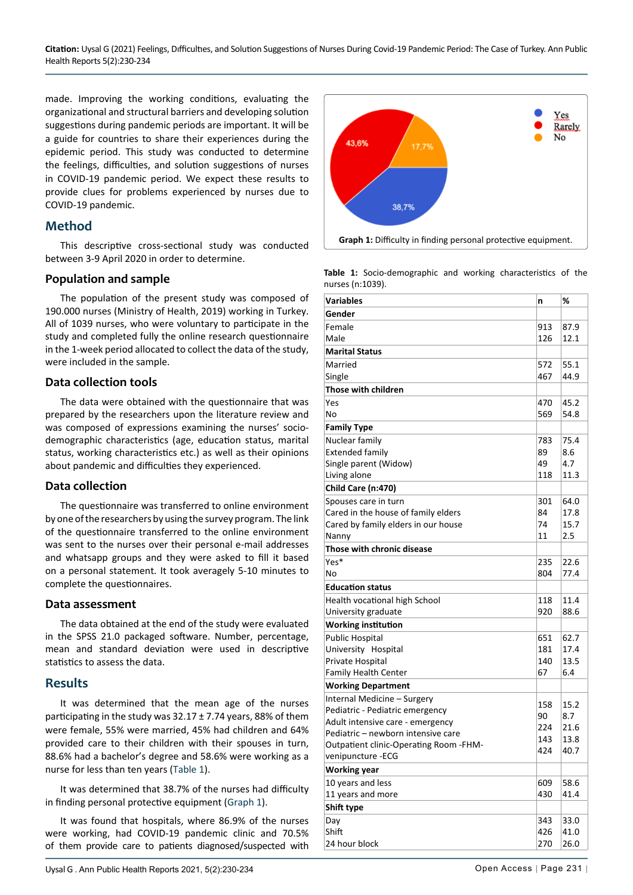**Citation:** Uysal G (2021) Feelings, Dıfficultıes, and Solution Suggestions of Nurses During Covid-19 Pandemic Period: The Case of Turkey. Ann Public Health Reports 5(2):230-234

made. Improving the working conditions, evaluating the organizational and structural barriers and developing solution suggestions during pandemic periods are important. It will be a guide for countries to share their experiences during the epidemic period. This study was conducted to determine the feelings, difficulties, and solution suggestions of nurses in COVID-19 pandemic period. We expect these results to provide clues for problems experienced by nurses due to COVID-19 pandemic.

## **Method**

This descriptive cross-sectional study was conducted between 3-9 April 2020 in order to determine.

#### **Population and sample**

The population of the present study was composed of 190.000 nurses (Ministry of Health, 2019) working in Turkey. All of 1039 nurses, who were voluntary to participate in the study and completed fully the online research questionnaire in the 1-week period allocated to collect the data of the study, were included in the sample.

## **Data collection tools**

The data were obtained with the questionnaire that was prepared by the researchers upon the literature review and was composed of expressions examining the nurses' sociodemographic characteristics (age, education status, marital status, working characteristics etc.) as well as their opinions about pandemic and difficulties they experienced.

## **Data collection**

The questionnaire was transferred to online environment by one of the researchers by using the survey program. The link of the questionnaire transferred to the online environment was sent to the nurses over their personal e-mail addresses and whatsapp groups and they were asked to fill it based on a personal statement. It took averagely 5-10 minutes to complete the questionnaires.

#### **Data assessment**

The data obtained at the end of the study were evaluated in the SPSS 21.0 packaged software. Number, percentage, mean and standard deviation were used in descriptive statistics to assess the data.

## **Results**

It was determined that the mean age of the nurses participating in the study was  $32.17 \pm 7.74$  years, 88% of them were female, 55% were married, 45% had children and 64% provided care to their children with their spouses in turn, 88.6% had a bachelor's degree and 58.6% were working as a nurse for less than ten years ([Table 1](#page-1-0)).

It was determined that 38.7% of the nurses had difficulty in finding personal protective equipment ([Graph 1](#page-1-1)).

It was found that hospitals, where 86.9% of the nurses were working, had COVID-19 pandemic clinic and 70.5% of them provide care to patients diagnosed/suspected with

<span id="page-1-1"></span>

<span id="page-1-0"></span>**Table 1:** Socio-demographic and working characteristics of the nurses (n:1039).

| Variables                                     | n   | %    |
|-----------------------------------------------|-----|------|
| Gender                                        |     |      |
| Female                                        | 913 | 87.9 |
| Male                                          | 126 | 12.1 |
| <b>Marital Status</b>                         |     |      |
| Married                                       | 572 | 55.1 |
| Single                                        | 467 | 44.9 |
| Those with children                           |     |      |
| Yes                                           | 470 | 45.2 |
| No                                            | 569 | 54.8 |
| <b>Family Type</b>                            |     |      |
| Nuclear family                                | 783 | 75.4 |
| <b>Extended family</b>                        | 89  | 8.6  |
| Single parent (Widow)                         | 49  | 4.7  |
| Living alone                                  | 118 | 11.3 |
| Child Care (n:470)                            |     |      |
| Spouses care in turn                          | 301 | 64.0 |
| Cared in the house of family elders           | 84  | 17.8 |
| Cared by family elders in our house           | 74  | 15.7 |
| Nanny                                         | 11  | 2.5  |
| Those with chronic disease                    |     |      |
| Yes*                                          | 235 | 22.6 |
| No                                            | 804 | 77.4 |
| <b>Education status</b>                       |     |      |
| Health vocational high School                 | 118 | 11.4 |
| University graduate                           | 920 | 88.6 |
| <b>Working institution</b>                    |     |      |
| <b>Public Hospital</b>                        | 651 | 62.7 |
| University Hospital                           | 181 | 17.4 |
| Private Hospital                              | 140 | 13.5 |
| <b>Family Health Center</b>                   | 67  | 6.4  |
| <b>Working Department</b>                     |     |      |
| Internal Medicine - Surgery                   | 158 | 15.2 |
| Pediatric - Pediatric emergency               | 90  | 8.7  |
| Adult intensive care - emergency              | 224 | 21.6 |
| Pediatric - newborn intensive care            | 143 | 13.8 |
| <b>Outpatient clinic-Operating Room -FHM-</b> | 424 | 40.7 |
| venipuncture -ECG                             |     |      |
| <b>Working year</b>                           |     |      |
| 10 years and less                             | 609 | 58.6 |
| 11 years and more                             | 430 | 41.4 |
| Shift type                                    |     |      |
| Day                                           | 343 | 33.0 |
| Shift                                         | 426 | 41.0 |
| 24 hour block                                 | 270 | 26.0 |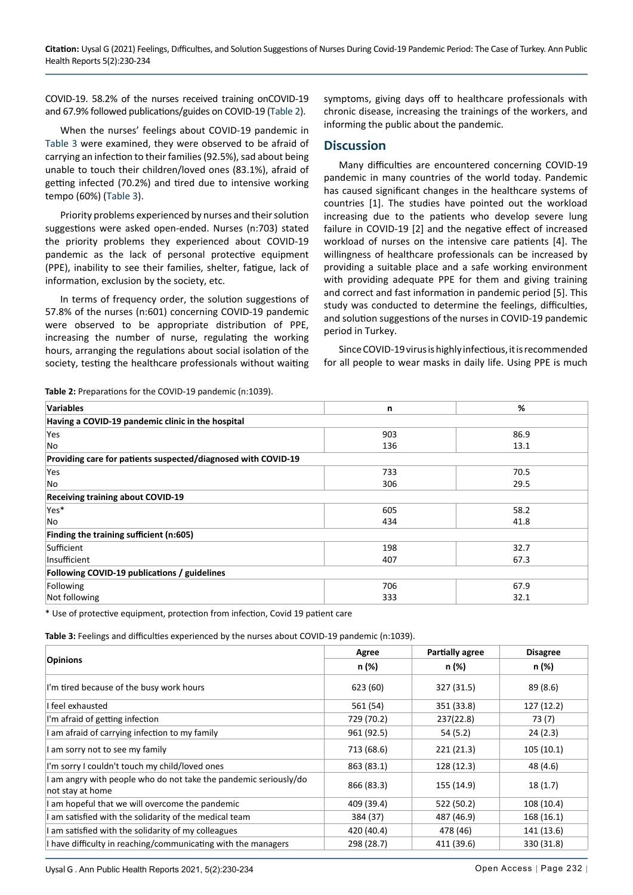COVID-19. 58.2% of the nurses received training onCOVID-19 and 67.9% followed publications/guides on COVID-19 [\(Table 2](#page-2-0)).

When the nurses' feelings about COVID-19 pandemic in [Table 3 w](#page-2-1)ere examined, they were observed to be afraid of carrying an infection to their families (92.5%), sad about being unable to touch their children/loved ones (83.1%), afraid of getting infected (70.2%) and tired due to intensive working tempo (60%) [\(Table 3](#page-2-1)).

Priority problems experienced by nurses and their solution suggestions were asked open-ended. Nurses (n:703) stated the priority problems they experienced about COVID-19 pandemic as the lack of personal protective equipment (PPE), inability to see their families, shelter, fatigue, lack of information, exclusion by the society, etc.

In terms of frequency order, the solution suggestions of 57.8% of the nurses (n:601) concerning COVID-19 pandemic were observed to be appropriate distribution of PPE, increasing the number of nurse, regulating the working hours, arranging the regulations about social isolation of the society, testing the healthcare professionals without waiting symptoms, giving days off to healthcare professionals with chronic disease, increasing the trainings of the workers, and informing the public about the pandemic.

## **Discussion**

Many difficulties are encountered concerning COVID-19 pandemic in many countries of the world today. Pandemic has caused significant changes in the healthcare systems of countries [1]. The studies have pointed out the workload increasing due to the patients who develop severe lung failure in COVID-19 [2] and the negative effect of increased workload of nurses on the intensive care patients [4]. The willingness of healthcare professionals can be increased by providing a suitable place and a safe working environment with providing adequate PPE for them and giving training and correct and fast information in pandemic period [5]. This study was conducted to determine the feelings, difficulties, and solution suggestions of the nurses in COVID-19 pandemic period in Turkey.

Since COVID-19 virus is highly infectious, it is recommended for all people to wear masks in daily life. Using PPE is much

<span id="page-2-0"></span>**Table 2:** Preparations for the COVID-19 pandemic (n:1039).

| <b>Variables</b>                                              | n   | %    |  |  |  |
|---------------------------------------------------------------|-----|------|--|--|--|
| Having a COVID-19 pandemic clinic in the hospital             |     |      |  |  |  |
| Yes                                                           | 903 | 86.9 |  |  |  |
| No                                                            | 136 | 13.1 |  |  |  |
| Providing care for patients suspected/diagnosed with COVID-19 |     |      |  |  |  |
| Yes                                                           | 733 | 70.5 |  |  |  |
| No                                                            | 306 | 29.5 |  |  |  |
| <b>Receiving training about COVID-19</b>                      |     |      |  |  |  |
| Yes*                                                          | 605 | 58.2 |  |  |  |
| No                                                            | 434 | 41.8 |  |  |  |
| Finding the training sufficient (n:605)                       |     |      |  |  |  |
| Sufficient                                                    | 198 | 32.7 |  |  |  |
| Insufficient                                                  | 407 | 67.3 |  |  |  |
| Following COVID-19 publications / guidelines                  |     |      |  |  |  |
| Following                                                     | 706 | 67.9 |  |  |  |
| Not following                                                 | 333 | 32.1 |  |  |  |

\* Use of protective equipment, protection from infection, Covid 19 patient care

<span id="page-2-1"></span>**Table 3:** Feelings and difficulties experienced by the nurses about COVID-19 pandemic (n:1039).

| <b>Opinions</b>                                                                      | Agree      | <b>Partially agree</b> | <b>Disagree</b> |
|--------------------------------------------------------------------------------------|------------|------------------------|-----------------|
|                                                                                      | n (%)      | n (%)                  | n (%)           |
| I'm tired because of the busy work hours                                             | 623 (60)   | 327 (31.5)             | 89 (8.6)        |
| I feel exhausted                                                                     | 561 (54)   | 351 (33.8)             | 127(12.2)       |
| I'm afraid of getting infection                                                      | 729 (70.2) | 237(22.8)              | 73 (7)          |
| I am afraid of carrying infection to my family                                       | 961 (92.5) | 54 (5.2)               | 24(2.3)         |
| I am sorry not to see my family                                                      | 713 (68.6) | 221(21.3)              | 105(10.1)       |
| I'm sorry I couldn't touch my child/loved ones                                       | 863 (83.1) | 128 (12.3)             | 48 (4.6)        |
| I am angry with people who do not take the pandemic seriously/do<br>not stay at home | 866 (83.3) | 155 (14.9)             | 18(1.7)         |
| I am hopeful that we will overcome the pandemic                                      | 409 (39.4) | 522 (50.2)             | 108 (10.4)      |
| I am satisfied with the solidarity of the medical team                               | 384 (37)   | 487 (46.9)             | 168 (16.1)      |
| I am satisfied with the solidarity of my colleagues                                  | 420 (40.4) | 478 (46)               | 141 (13.6)      |
| I have difficulty in reaching/communicating with the managers                        | 298 (28.7) | 411 (39.6)             | 330 (31.8)      |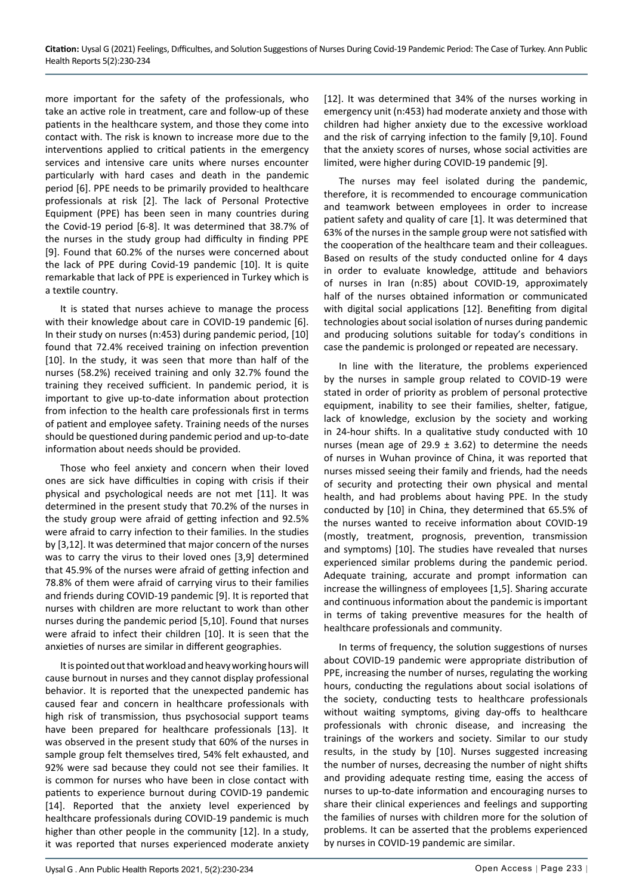more important for the safety of the professionals, who take an active role in treatment, care and follow-up of these patients in the healthcare system, and those they come into contact with. The risk is known to increase more due to the interventions applied to critical patients in the emergency services and intensive care units where nurses encounter particularly with hard cases and death in the pandemic period [6]. PPE needs to be primarily provided to healthcare professionals at risk [2]. The lack of Personal Protective Equipment (PPE) has been seen in many countries during the Covid-19 period [6-8]. It was determined that 38.7% of the nurses in the study group had difficulty in finding PPE [9]. Found that 60.2% of the nurses were concerned about the lack of PPE during Covid-19 pandemic [10]. It is quite remarkable that lack of PPE is experienced in Turkey which is a textile country.

It is stated that nurses achieve to manage the process with their knowledge about care in COVID-19 pandemic [6]. In their study on nurses (n:453) during pandemic period, [10] found that 72.4% received training on infection prevention [10]. In the study, it was seen that more than half of the nurses (58.2%) received training and only 32.7% found the training they received sufficient. In pandemic period, it is important to give up-to-date information about protection from infection to the health care professionals first in terms of patient and employee safety. Training needs of the nurses should be questioned during pandemic period and up-to-date information about needs should be provided.

Those who feel anxiety and concern when their loved ones are sick have difficulties in coping with crisis if their physical and psychological needs are not met [11]. It was determined in the present study that 70.2% of the nurses in the study group were afraid of getting infection and 92.5% were afraid to carry infection to their families. In the studies by [3,12]. It was determined that major concern of the nurses was to carry the virus to their loved ones [3,9] determined that 45.9% of the nurses were afraid of getting infection and 78.8% of them were afraid of carrying virus to their families and friends during COVID-19 pandemic [9]. It is reported that nurses with children are more reluctant to work than other nurses during the pandemic period [5,10]. Found that nurses were afraid to infect their children [10]. It is seen that the anxieties of nurses are similar in different geographies.

It is pointed out that workload and heavy working hours will cause burnout in nurses and they cannot display professional behavior. It is reported that the unexpected pandemic has caused fear and concern in healthcare professionals with high risk of transmission, thus psychosocial support teams have been prepared for healthcare professionals [13]. It was observed in the present study that 60% of the nurses in sample group felt themselves tired, 54% felt exhausted, and 92% were sad because they could not see their families. It is common for nurses who have been in close contact with patients to experience burnout during COVID-19 pandemic [14]. Reported that the anxiety level experienced by healthcare professionals during COVID-19 pandemic is much higher than other people in the community [12]. In a study, it was reported that nurses experienced moderate anxiety [12]. It was determined that 34% of the nurses working in emergency unit (n:453) had moderate anxiety and those with children had higher anxiety due to the excessive workload and the risk of carrying infection to the family [9,10]. Found that the anxiety scores of nurses, whose social activities are limited, were higher during COVID-19 pandemic [9].

The nurses may feel isolated during the pandemic, therefore, it is recommended to encourage communication and teamwork between employees in order to increase patient safety and quality of care [1]. It was determined that 63% of the nurses in the sample group were not satisfied with the cooperation of the healthcare team and their colleagues. Based on results of the study conducted online for 4 days in order to evaluate knowledge, attitude and behaviors of nurses in Iran (n:85) about COVID-19, approximately half of the nurses obtained information or communicated with digital social applications [12]. Benefiting from digital technologies about social isolation of nurses during pandemic and producing solutions suitable for today's conditions in case the pandemic is prolonged or repeated are necessary.

In line with the literature, the problems experienced by the nurses in sample group related to COVID-19 were stated in order of priority as problem of personal protective equipment, inability to see their families, shelter, fatigue, lack of knowledge, exclusion by the society and working in 24-hour shifts. In a qualitative study conducted with 10 nurses (mean age of 29.9  $\pm$  3.62) to determine the needs of nurses in Wuhan province of China, it was reported that nurses missed seeing their family and friends, had the needs of security and protecting their own physical and mental health, and had problems about having PPE. In the study conducted by [10] in China, they determined that 65.5% of the nurses wanted to receive information about COVID-19 (mostly, treatment, prognosis, prevention, transmission and symptoms) [10]. The studies have revealed that nurses experienced similar problems during the pandemic period. Adequate training, accurate and prompt information can increase the willingness of employees [1,5]. Sharing accurate and continuous information about the pandemic is important in terms of taking preventive measures for the health of healthcare professionals and community.

In terms of frequency, the solution suggestions of nurses about COVID-19 pandemic were appropriate distribution of PPE, increasing the number of nurses, regulating the working hours, conducting the regulations about social isolations of the society, conducting tests to healthcare professionals without waiting symptoms, giving day-offs to healthcare professionals with chronic disease, and increasing the trainings of the workers and society. Similar to our study results, in the study by [10]. Nurses suggested increasing the number of nurses, decreasing the number of night shifts and providing adequate resting time, easing the access of nurses to up-to-date information and encouraging nurses to share their clinical experiences and feelings and supporting the families of nurses with children more for the solution of problems. It can be asserted that the problems experienced by nurses in COVID-19 pandemic are similar.